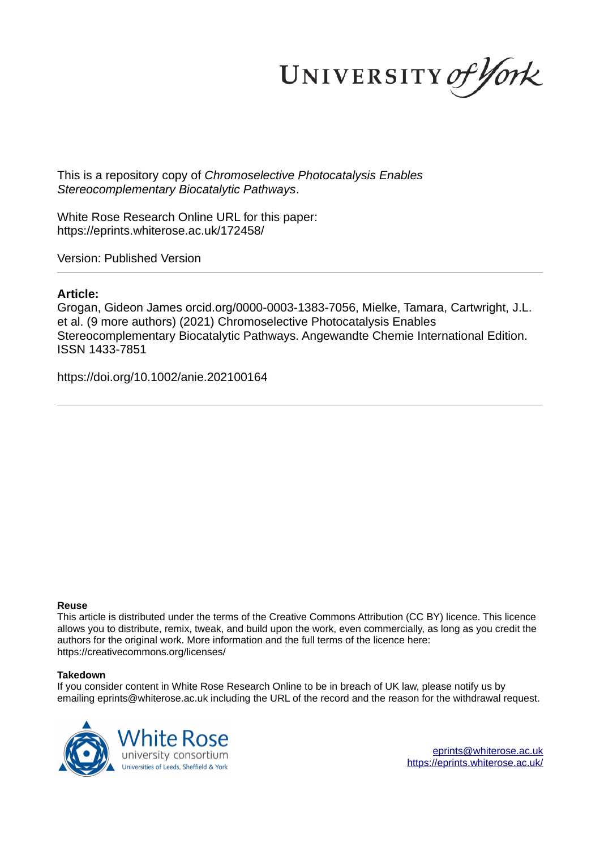UNIVERSITY of York

This is a repository copy of *Chromoselective Photocatalysis Enables Stereocomplementary Biocatalytic Pathways*.

White Rose Research Online URL for this paper: https://eprints.whiterose.ac.uk/172458/

Version: Published Version

# **Article:**

Grogan, Gideon James orcid.org/0000-0003-1383-7056, Mielke, Tamara, Cartwright, J.L. et al. (9 more authors) (2021) Chromoselective Photocatalysis Enables Stereocomplementary Biocatalytic Pathways. Angewandte Chemie International Edition. ISSN 1433-7851

https://doi.org/10.1002/anie.202100164

## **Reuse**

This article is distributed under the terms of the Creative Commons Attribution (CC BY) licence. This licence allows you to distribute, remix, tweak, and build upon the work, even commercially, as long as you credit the authors for the original work. More information and the full terms of the licence here: https://creativecommons.org/licenses/

## **Takedown**

If you consider content in White Rose Research Online to be in breach of UK law, please notify us by emailing eprints@whiterose.ac.uk including the URL of the record and the reason for the withdrawal request.



eprints@whiterose.ac.uk https://eprints.whiterose.ac.uk/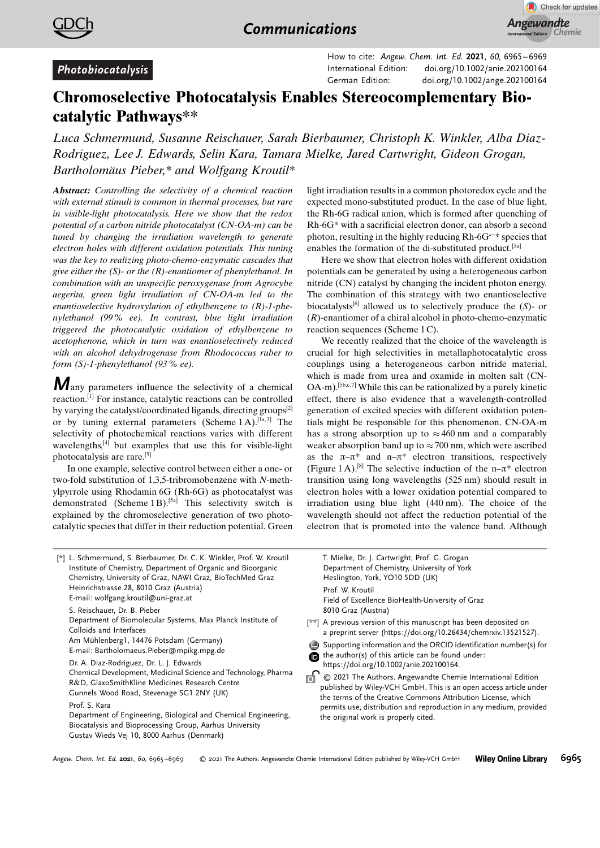



# Photobiocatalysis

How to cite: Angew. Chem. Int. Ed. 2021, 60, 6965 – 6969 International Edition: doi.org/10.1002/anie.202100164 German Edition: doi.org/10.1002/ange.202100164

# Chromoselective Photocatalysis Enables Stereocomplementary Biocatalytic Pathways\*\*

Luca Schmermund, Susanne Reischauer, Sarah Bierbaumer, Christoph K. Winkler, Alba Diaz-Rodriguez, Lee J. Edwards, Selin Kara, Tamara Mielke, Jared Cartwright, Gideon Grogan, Bartholomäus Pieber,\* and Wolfgang Kroutil\*

Abstract: Controlling the selectivity of a chemical reaction with external stimuli is common in thermal processes, but rare in visible-light photocatalysis. Here we show that the redox potential of a carbon nitride photocatalyst (CN-OA-m) can be tuned by changing the irradiation wavelength to generate electron holes with different oxidation potentials. This tuning was the key to realizing photo-chemo-enzymatic cascades that give either the  $(S)$ - or the  $(R)$ -enantiomer of phenylethanol. In combination with an unspecific peroxygenase from Agrocybe aegerita, green light irradiation of CN-OA-m led to the enantioselective hydroxylation of ethylbenzene to (R)-1-phenylethanol (99% ee). In contrast, blue light irradiation triggered the photocatalytic oxidation of ethylbenzene to acetophenone, which in turn was enantioselectively reduced with an alcohol dehydrogenase from Rhodococcus ruber to form (S)-1-phenylethanol (93% ee).

**M** any parameters influence the selectivity of a chemical reaction.[1] For instance, catalytic reactions can be controlled by varying the catalyst/coordinated ligands, directing groups[2] or by tuning external parameters (Scheme  $1A$ ).<sup>[1a,3]</sup> The selectivity of photochemical reactions varies with different wavelengths,[4] but examples that use this for visible-light photocatalysis are rare.[5]

In one example, selective control between either a one- or two-fold substitution of 1,3,5-tribromobenzene with N-methylpyrrole using Rhodamin 6G (Rh-6G) as photocatalyst was demonstrated (Scheme 1 B).<sup>[5a]</sup> This selectivity switch is explained by the chromoselective generation of two photocatalytic species that differ in their reduction potential. Green light irradiation results in a common photoredox cycle and the expected mono-substituted product. In the case of blue light, the Rh-6G radical anion, which is formed after quenching of Rh-6G\* with a sacrificial electron donor, can absorb a second photon, resulting in the highly reducing  $Rh-6G^{-*}$  species that enables the formation of the di-substituted product.[5a]

Here we show that electron holes with different oxidation potentials can be generated by using a heterogeneous carbon nitride (CN) catalyst by changing the incident photon energy. The combination of this strategy with two enantioselective biocatalysts<sup>[6]</sup> allowed us to selectively produce the  $(S)$ - or  $(R)$ -enantiomer of a chiral alcohol in photo-chemo-enzymatic reaction sequences (Scheme 1 C).

We recently realized that the choice of the wavelength is crucial for high selectivities in metallaphotocatalytic cross couplings using a heterogeneous carbon nitride material, which is made from urea and oxamide in molten salt (CN- $OA$ -m).<sup>[5b,c,7]</sup> While this can be rationalized by a purely kinetic effect, there is also evidence that a wavelength-controlled generation of excited species with different oxidation potentials might be responsible for this phenomenon. CN-OA-m has a strong absorption up to  $\approx 460$  nm and a comparably weaker absorption band up to  $\approx$  700 nm, which were ascribed as the  $\pi-\pi^*$  and n– $\pi^*$  electron transitions, respectively (Figure 1A).<sup>[8]</sup> The selective induction of the n- $\pi^*$  electron transition using long wavelengths (525 nm) should result in electron holes with a lower oxidation potential compared to irradiation using blue light (440 nm). The choice of the wavelength should not affect the reduction potential of the electron that is promoted into the valence band. Although



T. Mielke, Dr. J. Cartwright, Prof. G. Grogan Department of Chemistry, University of York Heslington, York, YO10 5DD (UK) Prof. W. Kroutil Field of Excellence BioHealth-University of Graz 8010 Graz (Austria)

[\*\*] A previous version of this manuscript has been deposited on a preprint server (https://doi.org/10.26434/chemrxiv.13521527).

Supporting information and the ORCID identification number(s) for the author(s) of this article can be found under: https://doi.org/10.1002/anie.202100164.

<sup>2</sup> © 2021 The Authors. Angewandte Chemie International Edition published by Wiley-VCH GmbH. This is an open access article under the terms of the Creative Commons Attribution License, which permits use, distribution and reproduction in any medium, provided the original work is properly cited.

Angew. Chem. Int. Ed. 2021, 60, 6965 –6969 -© 2021 The Authors. Angewandte Chemie International Edition published by Wiley-VCH GmbH Wiley Online Library 6965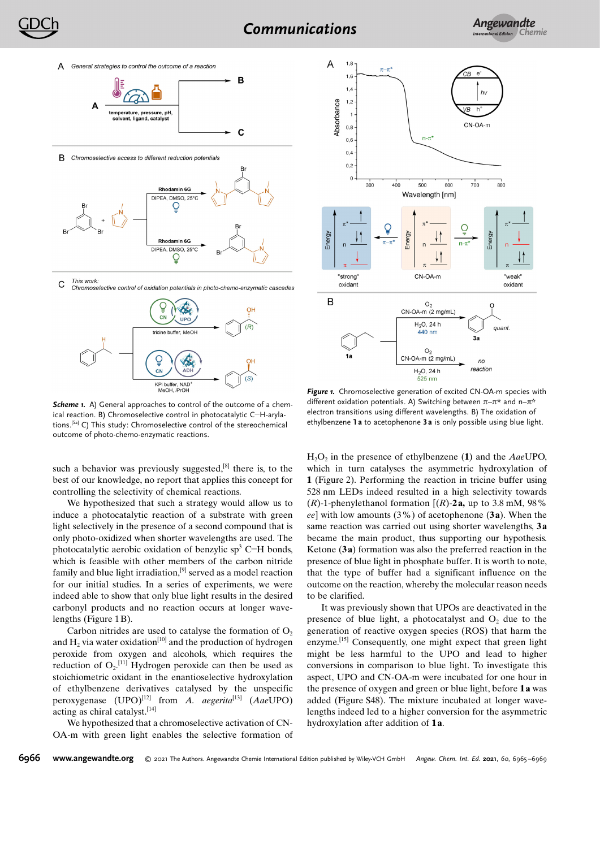



This work: C Chromoselective control of oxidation potentials in photo-chemo-enzymatic cascades



Scheme 1. A) General approaches to control of the outcome of a chemical reaction. B) Chromoselective control in photocatalytic C-H-arylations.[5a] C) This study: Chromoselective control of the stereochemical outcome of photo-chemo-enzymatic reactions.

such a behavior was previously suggested, $[8]$  there is, to the best of our knowledge, no report that applies this concept for controlling the selectivity of chemical reactions.

We hypothesized that such a strategy would allow us to induce a photocatalytic reaction of a substrate with green light selectively in the presence of a second compound that is only photo-oxidized when shorter wavelengths are used. The photocatalytic aerobic oxidation of benzylic sp<sup>3</sup> C-H bonds, which is feasible with other members of the carbon nitride family and blue light irradiation, $[9]$  served as a model reaction for our initial studies. In a series of experiments, we were indeed able to show that only blue light results in the desired carbonyl products and no reaction occurs at longer wavelengths (Figure 1B).

Carbon nitrides are used to catalyse the formation of  $O<sub>2</sub>$ and  $H_2$  via water oxidation<sup>[10]</sup> and the production of hydrogen peroxide from oxygen and alcohols, which requires the reduction of  $O_2$ <sup>[11]</sup> Hydrogen peroxide can then be used as stoichiometric oxidant in the enantioselective hydroxylation of ethylbenzene derivatives catalysed by the unspecific peroxygenase  $(UPO)^{[12]}$  from A. aegerita<sup>[13]</sup> (AaeUPO) acting as chiral catalyst.<sup>[14]</sup>

We hypothesized that a chromoselective activation of CN-OA-m with green light enables the selective formation of



Figure 1. Chromoselective generation of excited CN-OA-m species with different oxidation potentials. A) Switching between  $\pi-\pi^*$  and n- $\pi^*$ electron transitions using different wavelengths. B) The oxidation of ethylbenzene 1a to acetophenone 3a is only possible using blue light.

 $H_2O_2$  in the presence of ethylbenzene (1) and the AaeUPO, which in turn catalyses the asymmetric hydroxylation of 1 (Figure 2). Performing the reaction in tricine buffer using 528 nm LEDs indeed resulted in a high selectivity towards  $(R)$ -1-phenylethanol formation  $[(R)$ -2a, up to 3.8 mM, 98% ee] with low amounts  $(3\%)$  of acetophenone  $(3a)$ . When the same reaction was carried out using shorter wavelengths, 3a became the main product, thus supporting our hypothesis. Ketone (3a) formation was also the preferred reaction in the presence of blue light in phosphate buffer. It is worth to note, that the type of buffer had a significant influence on the outcome on the reaction, whereby the molecular reason needs to be clarified.

It was previously shown that UPOs are deactivated in the presence of blue light, a photocatalyst and  $O<sub>2</sub>$  due to the generation of reactive oxygen species (ROS) that harm the enzyme.<sup>[15]</sup> Consequently, one might expect that green light might be less harmful to the UPO and lead to higher conversions in comparison to blue light. To investigate this aspect, UPO and CN-OA-m were incubated for one hour in the presence of oxygen and green or blue light, before 1a was added (Figure S48). The mixture incubated at longer wavelengths indeed led to a higher conversion for the asymmetric hydroxylation after addition of 1a.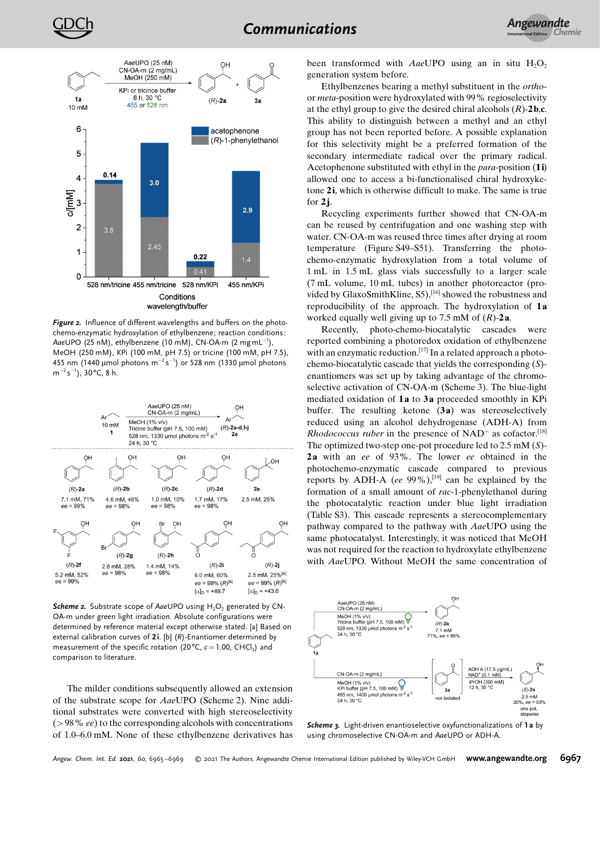



Figure 2. Influence of different wavelengths and buffers on the photochemo-enzymatic hydroxylation of ethylbenzene; reaction conditions: AaeUPO (25 nM), ethylbenzene (10 mM), CN-OA-m (2 mg mL $^{-1}$ ), MeOH (250 mM), KPi (100 mM, pH 7.5) or tricine (100 mM, pH 7.5), 455 nm (1440  $\mu$ mol photons m<sup>-2</sup>s<sup>-1</sup>) or 528 nm (1330  $\mu$ mol photons  $m^{-2} s^{-1}$ ), 30°C, 8 h.



**Scheme 2.** Substrate scope of AaeUPO using  $H_2O_2$  generated by CN-OA-m under green light irradiation. Absolute configurations were determined by reference material except otherwise stated. [a] Based on external calibration curves of 2i. [b] (R)-Enantiomer determined by measurement of the specific rotation (20 $^{\circ}$ C,  $c$  = 1.00, CHCl<sub>3</sub>) and comparison to literature.

The milder conditions subsequently allowed an extension of the substrate scope for AaeUPO (Scheme 2). Nine additional substrates were converted with high stereoselectivity  $(> 98\%$  ee) to the corresponding alcohols with concentrations of 1.0–6.0 mM. None of these ethylbenzene derivatives has

been transformed with AaeUPO using an in situ  $H_2O_2$ generation system before.

Ethylbenzenes bearing a methyl substituent in the orthoor meta-position were hydroxylated with 99% regioselectivity at the ethyl group to give the desired chiral alcohols  $(R)$ -2b,c. This ability to distinguish between a methyl and an ethyl group has not been reported before. A possible explanation for this selectivity might be a preferred formation of the secondary intermediate radical over the primary radical. Acetophenone substituted with ethyl in the para-position (1i) allowed one to access a bi-functionalised chiral hydroxyketone 2i, which is otherwise difficult to make. The same is true for  $2j$ .

Recycling experiments further showed that CN-OA-m can be reused by centrifugation and one washing step with water. CN-OA-m was reused three times after drying at room temperature (Figure S49–S51). Transferring the photochemo-enzymatic hydroxylation from a total volume of 1 mL in 1.5 mL glass vials successfully to a larger scale (7 mL volume, 10 mL tubes) in another photoreactor (provided by GlaxoSmithKline, S5),<sup>[16]</sup> showed the robustness and reproducibility of the approach. The hydroxylation of 1a worked equally well giving up to 7.5 mM of  $(R)$ -2a.

Recently, photo-chemo-biocatalytic cascades were reported combining a photoredox oxidation of ethylbenzene with an enzymatic reduction.<sup>[17]</sup> In a related approach a photochemo-biocatalytic cascade that yields the corresponding (S) enantiomers was set up by taking advantage of the chromoselective activation of CN-OA-m (Scheme 3). The blue-light mediated oxidation of 1a to 3a proceeded smoothly in KPi buffer. The resulting ketone  $(3a)$  was stereoselectively reduced using an alcohol dehydrogenase (ADH-A) from Rhodococcus ruber in the presence of  $NAD<sup>+</sup>$  as cofactor.<sup>[18]</sup> The optimized two-step one-pot procedure led to 2.5 mM (S)- 2a with an ee of 93%. The lower ee obtained in the photochemo-enzymatic cascade compared to previous reports by ADH-A (ee  $99\%$ ),<sup>[19]</sup> can be explained by the formation of a small amount of rac-1-phenylethanol during the photocatalytic reaction under blue light irradiation (Table S3). This cascade represents a stereocomplementary pathway compared to the pathway with AaeUPO using the same photocatalyst. Interestingly, it was noticed that MeOH was not required for the reaction to hydroxylate ethylbenzene with AaeUPO. Without MeOH the same concentration of



Scheme 3. Light-driven enantioselective oxyfunctionalizations of 1 a by using chromoselective CN-OA-m and AaeUPO or ADH-A.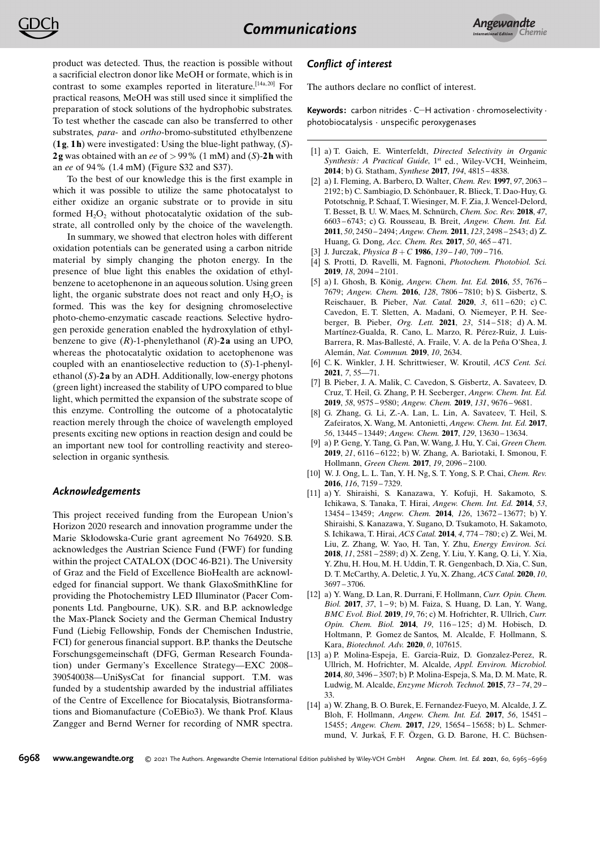product was detected. Thus, the reaction is possible without a sacrificial electron donor like MeOH or formate, which is in contrast to some examples reported in literature.<sup>[14a, 20]</sup> For practical reasons, MeOH was still used since it simplified the preparation of stock solutions of the hydrophobic substrates. To test whether the cascade can also be transferred to other substrates, *para*- and *ortho*-bromo-substituted ethylbenzene  $(1g, 1h)$  were investigated: Using the blue-light pathway,  $(S)$ -2g was obtained with an ee of  $> 99\%$  (1 mM) and (S)-2h with an ee of 94% (1.4 mM) (Figure S32 and S37).

To the best of our knowledge this is the first example in which it was possible to utilize the same photocatalyst to either oxidize an organic substrate or to provide in situ formed  $H_2O_2$  without photocatalytic oxidation of the substrate, all controlled only by the choice of the wavelength.

In summary, we showed that electron holes with different oxidation potentials can be generated using a carbon nitride material by simply changing the photon energy. In the presence of blue light this enables the oxidation of ethylbenzene to acetophenone in an aqueous solution. Using green light, the organic substrate does not react and only  $H_2O_2$  is formed. This was the key for designing chromoselective photo-chemo-enzymatic cascade reactions. Selective hydrogen peroxide generation enabled the hydroxylation of ethylbenzene to give  $(R)$ -1-phenylethanol  $(R)$ -2a using an UPO, whereas the photocatalytic oxidation to acetophenone was coupled with an enantioselective reduction to (S)-1-phenylethanol  $(S)$ -2 a by an ADH. Additionally, low-energy photons (green light) increased the stability of UPO compared to blue light, which permitted the expansion of the substrate scope of this enzyme. Controlling the outcome of a photocatalytic reaction merely through the choice of wavelength employed presents exciting new options in reaction design and could be an important new tool for controlling reactivity and stereoselection in organic synthesis.

#### Acknowledgements

This project received funding from the European Union's Horizon 2020 research and innovation programme under the Marie Skłodowska-Curie grant agreement No 764920. S.B. acknowledges the Austrian Science Fund (FWF) for funding within the project CATALOX (DOC 46-B21). The University of Graz and the Field of Excellence BioHealth are acknowledged for financial support. We thank GlaxoSmithKline for providing the Photochemistry LED Illuminator (Pacer Components Ltd. Pangbourne, UK). S.R. and B.P. acknowledge the Max-Planck Society and the German Chemical Industry Fund (Liebig Fellowship, Fonds der Chemischen Industrie, FCI) for generous financial support. B.P. thanks the Deutsche Forschungsgemeinschaft (DFG, German Research Foundation) under Germany's Excellence Strategy-EXC 2008-390540038—UniSysCat for financial support. T.M. was funded by a studentship awarded by the industrial affiliates of the Centre of Excellence for Biocatalysis, Biotransformations and Biomanufacture (CoEBio3). We thank Prof. Klaus Zangger and Bernd Werner for recording of NMR spectra.

#### Conflict of interest

The authors declare no conflict of interest.

Keywords: carbon nitrides · C-H activation · chromoselectivity · photobiocatalysis · unspecific peroxygenases

- [1] a) T. Gaich, E. Winterfeldt, Directed Selectivity in Organic Synthesis: A Practical Guide, 1<sup>st</sup> ed., Wiley-VCH, Weinheim, 2014; b) G. Statham, Synthese 2017, 194, 4815 – 4838.
- [2] a) I. Fleming, A. Barbero, D. Walter, *Chem. Rev.* **1997**, 97, 2063 2192; b) C. Sambiagio, D. Schönbauer, R. Blieck, T. Dao-Huy, G. Pototschnig, P. Schaaf, T. Wiesinger, M. F. Zia, J. Wencel-Delord, T. Besset, B. U. W. Maes, M. Schnürch, Chem. Soc. Rev. 2018, 47, 6603 – 6743; c) G. Rousseau, B. Breit, Angew. Chem. Int. Ed. 2011, 50, 2450 – 2494; Angew. Chem. 2011, 123, 2498 – 2543; d) Z. Huang, G. Dong, Acc. Chem. Res. 2017, 50, 465 – 471.
- [3] J. Jurczak, *Physica*  $B + C$  **1986**,  $139 140$ ,  $709 716$ .
- [4] S. Protti, D. Ravelli, M. Fagnoni, Photochem. Photobiol. Sci. 2019, 18, 2094 – 2101.
- [5] a) I. Ghosh, B. König, Angew. Chem. Int. Ed. 2016, 55, 7676-7679; Angew. Chem. 2016, 128, 7806 – 7810; b) S. Gisbertz, S. Reischauer, B. Pieber, Nat. Catal. 2020, 3, 611-620; c) C. Cavedon, E. T. Sletten, A. Madani, O. Niemeyer, P. H. Seeberger, B. Pieber, Org. Lett. 2021, 23, 514 – 518; d) A. M. Martínez-Gualda, R. Cano, L. Marzo, R. Pérez-Ruiz, J. Luis-Barrera, R. Mas-Ballesté, A. Fraile, V. A. de la Peña O'Shea, J. Alemán, Nat. Commun. 2019, 10, 2634.
- [6] C. K. Winkler, J. H. Schrittwieser, W. Kroutil, ACS Cent. Sci. 2021, 7, 55—71.
- [7] B. Pieber, J. A. Malik, C. Cavedon, S. Gisbertz, A. Savateev, D. Cruz, T. Heil, G. Zhang, P. H. Seeberger, Angew. Chem. Int. Ed. 2019, 58, 9575 – 9580; Angew. Chem. 2019, 131, 9676 – 9681.
- [8] G. Zhang, G. Li, Z.-A. Lan, L. Lin, A. Savateev, T. Heil, S. Zafeiratos, X. Wang, M. Antonietti, Angew. Chem. Int. Ed. 2017, 56, 13445 – 13449; Angew. Chem. 2017, 129, 13630 – 13634.
- [9] a) P. Geng, Y. Tang, G. Pan, W. Wang, J. Hu, Y. Cai, Green Chem. 2019, 21, 6116 – 6122; b) W. Zhang, A. Bariotaki, I. Smonou, F. Hollmann, Green Chem. 2017, 19, 2096 – 2100.
- [10] W. J. Ong, L. L. Tan, Y. H. Ng, S. T. Yong, S. P. Chai, Chem. Rev. 2016, 116, 7159 – 7329.
- [11] a) Y. Shiraishi, S. Kanazawa, Y. Kofuji, H. Sakamoto, S. Ichikawa, S. Tanaka, T. Hirai, Angew. Chem. Int. Ed. 2014, 53, 13454 – 13459; Angew. Chem. 2014, 126, 13672 – 13677; b) Y. Shiraishi, S. Kanazawa, Y. Sugano, D. Tsukamoto, H. Sakamoto, S. Ichikawa, T. Hirai, ACS Catal. 2014, 4, 774 – 780; c) Z. Wei, M. Liu, Z. Zhang, W. Yao, H. Tan, Y. Zhu, Energy Environ. Sci. 2018, 11, 2581 – 2589; d) X. Zeng, Y. Liu, Y. Kang, Q. Li, Y. Xia, Y. Zhu, H. Hou, M. H. Uddin, T. R. Gengenbach, D. Xia, C. Sun, D. T. McCarthy, A. Deletic, J. Yu, X. Zhang, ACS Catal. 2020, 10, 3697 – 3706.
- [12] a) Y. Wang, D. Lan, R. Durrani, F. Hollmann, Curr. Opin. Chem. Biol. 2017, 37, 1-9; b) M. Faiza, S. Huang, D. Lan, Y. Wang, BMC Evol. Biol. 2019, 19, 76; c) M. Hofrichter, R. Ullrich, Curr. Opin. Chem. Biol. 2014, 19, 116 – 125; d) M. Hobisch, D. Holtmann, P. Gomez de Santos, M. Alcalde, F. Hollmann, S. Kara, Biotechnol. Adv. 2020, 0, 107615.
- [13] a) P. Molina-Espeja, E. Garcia-Ruiz, D. Gonzalez-Perez, R. Ullrich, M. Hofrichter, M. Alcalde, Appl. Environ. Microbiol. 2014, 80, 3496 – 3507; b) P. Molina-Espeja, S. Ma, D. M. Mate, R. Ludwig, M. Alcalde, Enzyme Microb. Technol. 2015, 73 – 74, 29 – 33.
- [14] a) W. Zhang, B. O. Burek, E. Fernandez-Fueyo, M. Alcalde, J. Z. Bloh, F. Hollmann, Angew. Chem. Int. Ed. 2017, 56, 15451 – 15455; Angew. Chem. 2017, 129, 15654 – 15658; b) L. Schmermund, V. Jurkaš, F. F. Özgen, G. D. Barone, H. C. Büchsen-